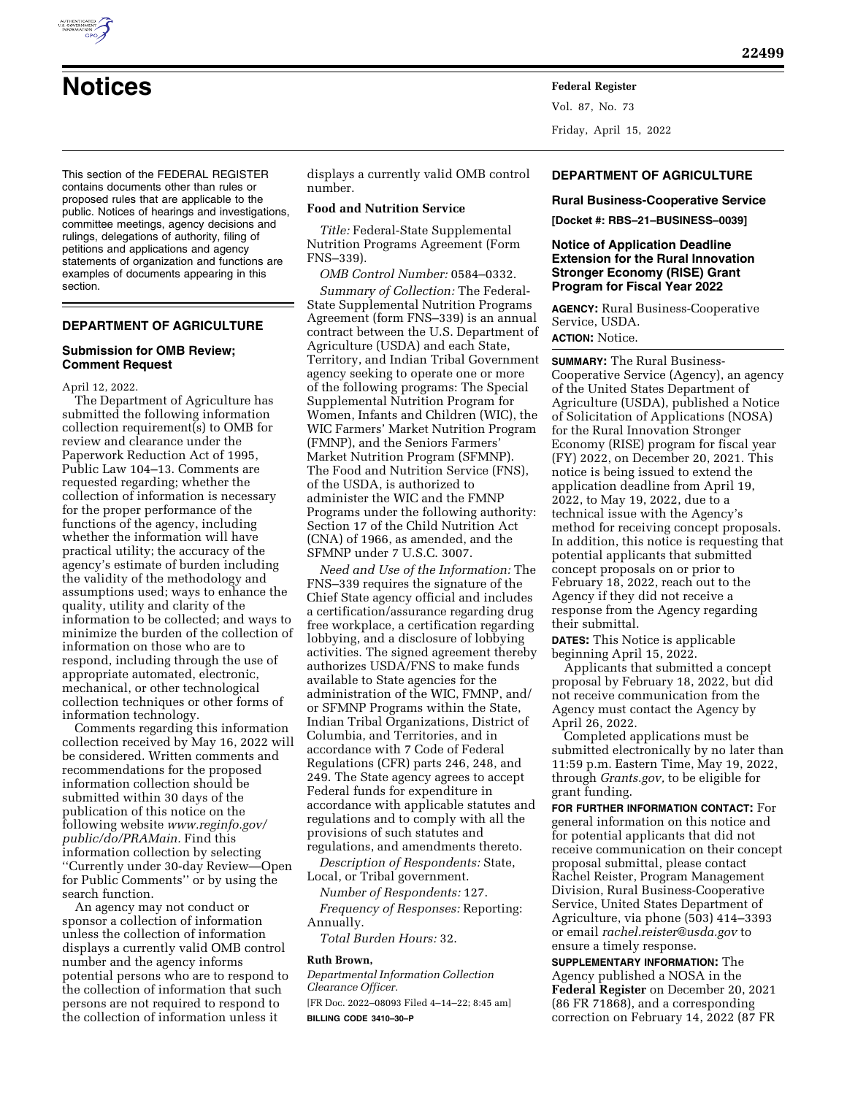

Vol. 87, No. 73 Friday, April 15, 2022

This section of the FEDERAL REGISTER contains documents other than rules or proposed rules that are applicable to the public. Notices of hearings and investigations, committee meetings, agency decisions and rulings, delegations of authority, filing of petitions and applications and agency statements of organization and functions are examples of documents appearing in this section.

# **DEPARTMENT OF AGRICULTURE**

### **Submission for OMB Review; Comment Request**

April 12, 2022.

The Department of Agriculture has submitted the following information collection requirement(s) to OMB for review and clearance under the Paperwork Reduction Act of 1995, Public Law 104–13. Comments are requested regarding; whether the collection of information is necessary for the proper performance of the functions of the agency, including whether the information will have practical utility; the accuracy of the agency's estimate of burden including the validity of the methodology and assumptions used; ways to enhance the quality, utility and clarity of the information to be collected; and ways to minimize the burden of the collection of information on those who are to respond, including through the use of appropriate automated, electronic, mechanical, or other technological collection techniques or other forms of information technology.

Comments regarding this information collection received by May 16, 2022 will be considered. Written comments and recommendations for the proposed information collection should be submitted within 30 days of the publication of this notice on the following website *[www.reginfo.gov/](http://www.reginfo.gov/public/do/PRAMain)  [public/do/PRAMain.](http://www.reginfo.gov/public/do/PRAMain)* Find this information collection by selecting ''Currently under 30-day Review—Open for Public Comments'' or by using the search function.

An agency may not conduct or sponsor a collection of information unless the collection of information displays a currently valid OMB control number and the agency informs potential persons who are to respond to the collection of information that such persons are not required to respond to the collection of information unless it

displays a currently valid OMB control number.

#### **Food and Nutrition Service**

*Title:* Federal-State Supplemental Nutrition Programs Agreement (Form FNS–339).

*OMB Control Number:* 0584–0332. *Summary of Collection:* The Federal-State Supplemental Nutrition Programs Agreement (form FNS–339) is an annual contract between the U.S. Department of Agriculture (USDA) and each State, Territory, and Indian Tribal Government agency seeking to operate one or more of the following programs: The Special Supplemental Nutrition Program for Women, Infants and Children (WIC), the WIC Farmers' Market Nutrition Program (FMNP), and the Seniors Farmers' Market Nutrition Program (SFMNP). The Food and Nutrition Service (FNS), of the USDA, is authorized to administer the WIC and the FMNP Programs under the following authority: Section 17 of the Child Nutrition Act (CNA) of 1966, as amended, and the SFMNP under 7 U.S.C. 3007.

*Need and Use of the Information:* The FNS–339 requires the signature of the Chief State agency official and includes a certification/assurance regarding drug free workplace, a certification regarding lobbying, and a disclosure of lobbying activities. The signed agreement thereby authorizes USDA/FNS to make funds available to State agencies for the administration of the WIC, FMNP, and/ or SFMNP Programs within the State, Indian Tribal Organizations, District of Columbia, and Territories, and in accordance with 7 Code of Federal Regulations (CFR) parts 246, 248, and 249. The State agency agrees to accept Federal funds for expenditure in accordance with applicable statutes and regulations and to comply with all the provisions of such statutes and regulations, and amendments thereto.

*Description of Respondents:* State, Local, or Tribal government.

*Number of Respondents:* 127. *Frequency of Responses:* Reporting: Annually.

*Total Burden Hours:* 32.

#### **Ruth Brown,**

*Departmental Information Collection Clearance Officer.*  [FR Doc. 2022–08093 Filed 4–14–22; 8:45 am]

**BILLING CODE 3410–30–P** 

# **DEPARTMENT OF AGRICULTURE**

**Rural Business-Cooperative Service** 

**[Docket #: RBS–21–BUSINESS–0039]** 

## **Notice of Application Deadline Extension for the Rural Innovation Stronger Economy (RISE) Grant Program for Fiscal Year 2022**

**AGENCY:** Rural Business-Cooperative Service, USDA. **ACTION:** Notice.

**SUMMARY:** The Rural Business-Cooperative Service (Agency), an agency of the United States Department of Agriculture (USDA), published a Notice of Solicitation of Applications (NOSA) for the Rural Innovation Stronger Economy (RISE) program for fiscal year (FY) 2022, on December 20, 2021. This notice is being issued to extend the application deadline from April 19, 2022, to May 19, 2022, due to a technical issue with the Agency's method for receiving concept proposals. In addition, this notice is requesting that potential applicants that submitted concept proposals on or prior to February 18, 2022, reach out to the Agency if they did not receive a response from the Agency regarding their submittal.

**DATES:** This Notice is applicable beginning April 15, 2022.

Applicants that submitted a concept proposal by February 18, 2022, but did not receive communication from the Agency must contact the Agency by April 26, 2022.

Completed applications must be submitted electronically by no later than 11:59 p.m. Eastern Time, May 19, 2022, through *Grants.gov,* to be eligible for grant funding.

**FOR FURTHER INFORMATION CONTACT:** For general information on this notice and for potential applicants that did not receive communication on their concept proposal submittal, please contact Rachel Reister, Program Management Division, Rural Business-Cooperative Service, United States Department of Agriculture, via phone (503) 414–3393 or email *[rachel.reister@usda.gov](mailto:rachel.reister@usda.gov)* to ensure a timely response.

**SUPPLEMENTARY INFORMATION:** The Agency published a NOSA in the **Federal Register** on December 20, 2021 (86 FR 71868), and a corresponding correction on February 14, 2022 (87 FR